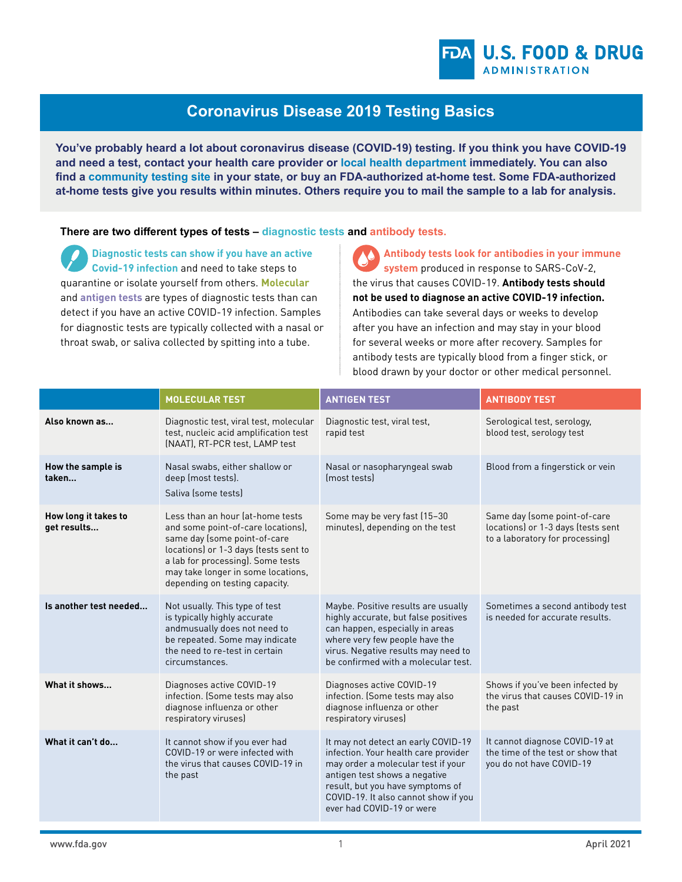## **Coronavirus Disease 2019 Testing Basics**

**You've probably heard a lot about coronavirus disease (COVID-19) testing. If you think you have COVID-19 and need a test, contact your health care provider or [local health department](https://www.naccho.org/membership/lhd-directory) immediately. You can also find a [community testing site](https://www.hhs.gov/coronavirus/community-based-testing-sites/index.html) in your state, or buy an FDA-authorized at-home test. Some FDA-authorized at-home tests give you results within minutes. Others require you to mail the sample to a lab for analysis.**

**There are two different types of tests – diagnostic tests and antibody tests.**

**Diagnostic tests can show if you have an active Covid-19 infection** and need to take steps to quarantine or isolate yourself from others. **Molecular**  and **antigen tests** are types of diagnostic tests than can detect if you have an active COVID-19 infection. Samples for diagnostic tests are typically collected with a nasal or throat swab, or saliva collected by spitting into a tube.

**Antibody tests look for antibodies in your immune system** produced in response to SARS-CoV-2, the virus that causes COVID-19. **Antibody tests should not be used to diagnose an active COVID-19 infection.** Antibodies can take several days or weeks to develop after you have an infection and may stay in your blood for several weeks or more after recovery. Samples for antibody tests are typically blood from a finger stick, or blood drawn by your doctor or other medical personnel.

|                                     | <b>MOLECULAR TEST</b>                                                                                                                                                                                                                                        | <b>ANTIGEN TEST</b>                                                                                                                                                                                                                                         | <b>ANTIBODY TEST</b>                                                                                  |
|-------------------------------------|--------------------------------------------------------------------------------------------------------------------------------------------------------------------------------------------------------------------------------------------------------------|-------------------------------------------------------------------------------------------------------------------------------------------------------------------------------------------------------------------------------------------------------------|-------------------------------------------------------------------------------------------------------|
| Also known as                       | Diagnostic test, viral test, molecular<br>test, nucleic acid amplification test<br>(NAAT), RT-PCR test, LAMP test                                                                                                                                            | Diagnostic test, viral test,<br>rapid test                                                                                                                                                                                                                  | Serological test, serology,<br>blood test, serology test                                              |
| How the sample is<br>taken          | Nasal swabs, either shallow or<br>deep (most tests).<br>Saliva (some tests)                                                                                                                                                                                  | Nasal or nasopharyngeal swab<br>(most tests)                                                                                                                                                                                                                | Blood from a fingerstick or vein                                                                      |
| How long it takes to<br>get results | Less than an hour lat-home tests<br>and some point-of-care locations),<br>same day (some point-of-care<br>locations) or 1-3 days (tests sent to<br>a lab for processing). Some tests<br>may take longer in some locations,<br>depending on testing capacity. | Some may be very fast (15-30<br>minutes), depending on the test                                                                                                                                                                                             | Same day (some point-of-care<br>locations) or 1-3 days (tests sent<br>to a laboratory for processing) |
| Is another test needed              | Not usually. This type of test<br>is typically highly accurate<br>andmusually does not need to<br>be repeated. Some may indicate<br>the need to re-test in certain<br>circumstances.                                                                         | Maybe. Positive results are usually<br>highly accurate, but false positives<br>can happen, especially in areas<br>where very few people have the<br>virus. Negative results may need to<br>be confirmed with a molecular test.                              | Sometimes a second antibody test<br>is needed for accurate results.                                   |
| What it shows                       | Diagnoses active COVID-19<br>infection. (Some tests may also<br>diagnose influenza or other<br>respiratory viruses)                                                                                                                                          | Diagnoses active COVID-19<br>infection. (Some tests may also<br>diagnose influenza or other<br>respiratory viruses)                                                                                                                                         | Shows if you've been infected by<br>the virus that causes COVID-19 in<br>the past                     |
| What it can't do                    | It cannot show if you ever had<br>COVID-19 or were infected with<br>the virus that causes COVID-19 in<br>the past                                                                                                                                            | It may not detect an early COVID-19<br>infection. Your health care provider<br>may order a molecular test if your<br>antigen test shows a negative<br>result, but you have symptoms of<br>COVID-19. It also cannot show if you<br>ever had COVID-19 or were | It cannot diagnose COVID-19 at<br>the time of the test or show that<br>you do not have COVID-19       |